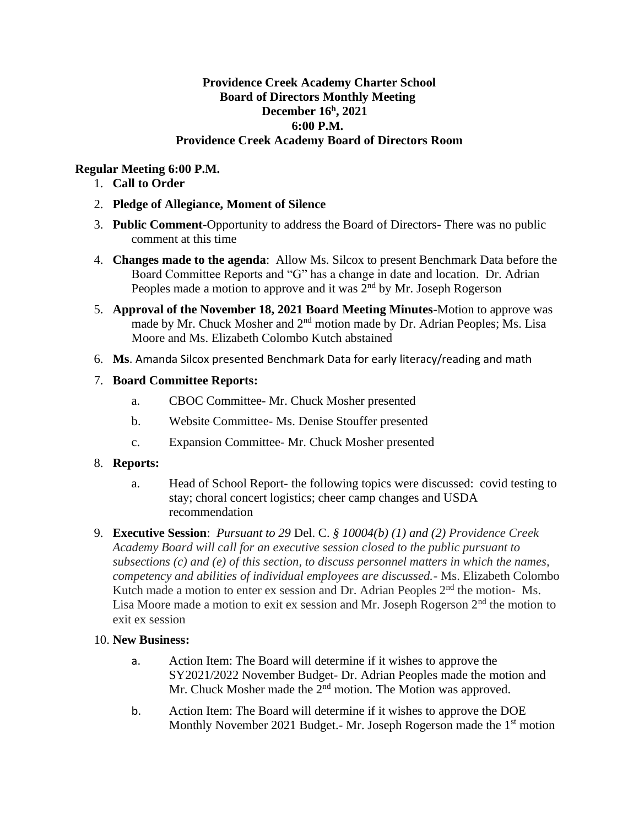## **Providence Creek Academy Charter School Board of Directors Monthly Meeting December 16 h , 2021 6:00 P.M. Providence Creek Academy Board of Directors Room**

# **Regular Meeting 6:00 P.M.**

- 1. **Call to Order**
- 2. **Pledge of Allegiance, Moment of Silence**
- 3. **Public Comment**-Opportunity to address the Board of Directors- There was no public comment at this time
- 4. **Changes made to the agenda**: Allow Ms. Silcox to present Benchmark Data before the Board Committee Reports and "G" has a change in date and location. Dr. Adrian Peoples made a motion to approve and it was  $2<sup>nd</sup>$  by Mr. Joseph Rogerson
- 5. **Approval of the November 18, 2021 Board Meeting Minutes**-Motion to approve was made by Mr. Chuck Mosher and 2<sup>nd</sup> motion made by Dr. Adrian Peoples; Ms. Lisa Moore and Ms. Elizabeth Colombo Kutch abstained
- 6. **Ms**. Amanda Silcox presented Benchmark Data for early literacy/reading and math
- 7. **Board Committee Reports:**
	- a. CBOC Committee- Mr. Chuck Mosher presented
	- b. Website Committee- Ms. Denise Stouffer presented
	- c. Expansion Committee- Mr. Chuck Mosher presented

## 8. **Reports:**

- a. Head of School Report- the following topics were discussed: covid testing to stay; choral concert logistics; cheer camp changes and USDA recommendation
- 9. **Executive Session**: *Pursuant to 29* Del. C. *§ 10004(b) (1) and (2) Providence Creek Academy Board will call for an executive session closed to the public pursuant to subsections (c) and (e) of this section, to discuss personnel matters in which the names, competency and abilities of individual employees are discussed.*- Ms. Elizabeth Colombo Kutch made a motion to enter ex session and Dr. Adrian Peoples 2<sup>nd</sup> the motion- Ms. Lisa Moore made a motion to exit ex session and Mr. Joseph Rogerson  $2<sup>nd</sup>$  the motion to exit ex session

## 10. **New Business:**

- a. Action Item: The Board will determine if it wishes to approve the SY2021/2022 November Budget- Dr. Adrian Peoples made the motion and Mr. Chuck Mosher made the  $2<sup>nd</sup>$  motion. The Motion was approved.
- b. Action Item: The Board will determine if it wishes to approve the DOE Monthly November 2021 Budget.- Mr. Joseph Rogerson made the 1<sup>st</sup> motion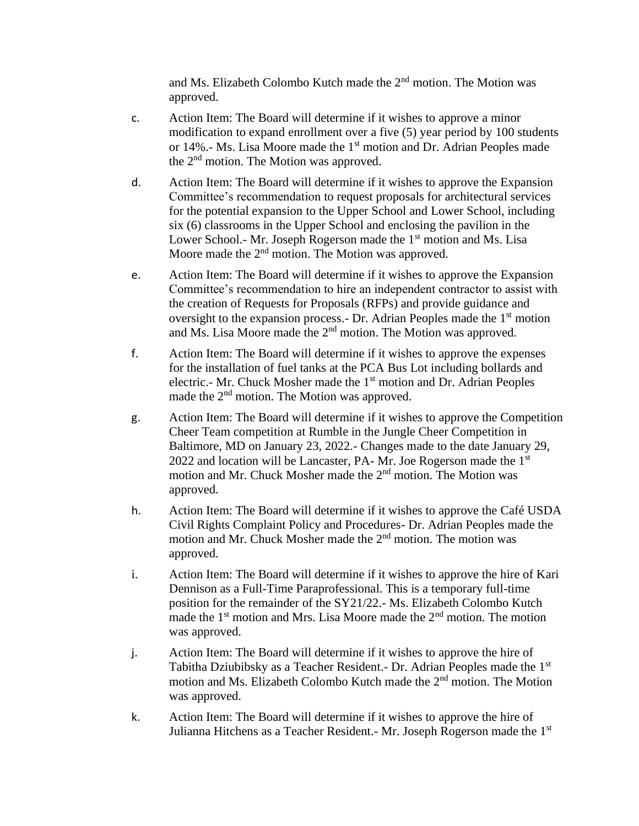and Ms. Elizabeth Colombo Kutch made the 2nd motion. The Motion was approved.

- c. Action Item: The Board will determine if it wishes to approve a minor modification to expand enrollment over a five (5) year period by 100 students or 14%.- Ms. Lisa Moore made the 1st motion and Dr. Adrian Peoples made the 2nd motion. The Motion was approved.
- d. Action Item: The Board will determine if it wishes to approve the Expansion Committee's recommendation to request proposals for architectural services for the potential expansion to the Upper School and Lower School, including six (6) classrooms in the Upper School and enclosing the pavilion in the Lower School.- Mr. Joseph Rogerson made the 1<sup>st</sup> motion and Ms. Lisa Moore made the 2<sup>nd</sup> motion. The Motion was approved.
- e. Action Item: The Board will determine if it wishes to approve the Expansion Committee's recommendation to hire an independent contractor to assist with the creation of Requests for Proposals (RFPs) and provide guidance and oversight to the expansion process.- Dr. Adrian Peoples made the 1<sup>st</sup> motion and Ms. Lisa Moore made the 2nd motion. The Motion was approved.
- f. Action Item: The Board will determine if it wishes to approve the expenses for the installation of fuel tanks at the PCA Bus Lot including bollards and electric.- Mr. Chuck Mosher made the 1<sup>st</sup> motion and Dr. Adrian Peoples made the 2<sup>nd</sup> motion. The Motion was approved.
- g. Action Item: The Board will determine if it wishes to approve the Competition Cheer Team competition at Rumble in the Jungle Cheer Competition in Baltimore, MD on January 23, 2022.- Changes made to the date January 29, 2022 and location will be Lancaster, PA- Mr. Joe Rogerson made the  $1<sup>st</sup>$ motion and Mr. Chuck Mosher made the 2<sup>nd</sup> motion. The Motion was approved.
- h. Action Item: The Board will determine if it wishes to approve the Café USDA Civil Rights Complaint Policy and Procedures- Dr. Adrian Peoples made the motion and Mr. Chuck Mosher made the 2<sup>nd</sup> motion. The motion was approved.
- i. Action Item: The Board will determine if it wishes to approve the hire of Kari Dennison as a Full-Time Paraprofessional. This is a temporary full-time position for the remainder of the SY21/22.- Ms. Elizabeth Colombo Kutch made the  $1<sup>st</sup>$  motion and Mrs. Lisa Moore made the  $2<sup>nd</sup>$  motion. The motion was approved.
- j. Action Item: The Board will determine if it wishes to approve the hire of Tabitha Dziubibsky as a Teacher Resident.- Dr. Adrian Peoples made the 1st motion and Ms. Elizabeth Colombo Kutch made the 2<sup>nd</sup> motion. The Motion was approved.
- k. Action Item: The Board will determine if it wishes to approve the hire of Julianna Hitchens as a Teacher Resident.- Mr. Joseph Rogerson made the 1<sup>st</sup>